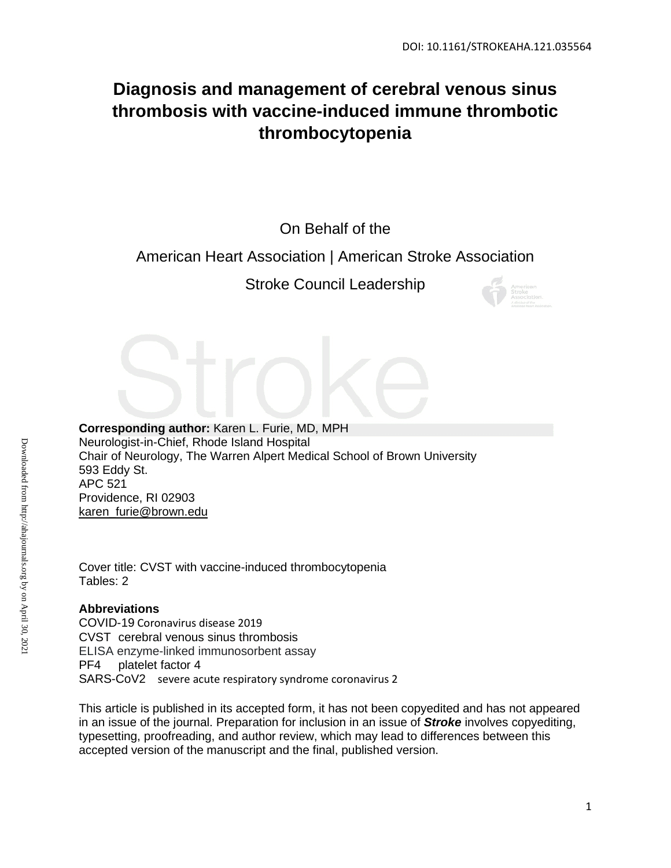# **Diagnosis and management of cerebral venous sinus thrombosis with vaccine-induced immune thrombotic thrombocytopenia**

On Behalf of the

# American Heart Association | American Stroke Association

Stroke Council Leadership



**Corresponding author:** Karen L. Furie, MD, MPH Neurologist-in-Chief, Rhode Island Hospital Chair of Neurology, The Warren Alpert Medical School of Brown University 593 Eddy St. APC 521 Providence, RI 02903 [karen\\_furie@brown.edu](mailto:kfurie@lifespan.org)

Cover title: CVST with vaccine-induced thrombocytopenia Tables: 2

# **Abbreviations**

COVID-19 Coronavirus disease 2019 CVST cerebral venous sinus thrombosis ELISA enzyme-linked immunosorbent assay PF4 platelet factor 4 SARS-CoV2 severe acute respiratory syndrome coronavirus 2

This article is published in its accepted form, it has not been copyedited and has not appeared in an issue of the journal. Preparation for inclusion in an issue of *Stroke* involves copyediting, typesetting, proofreading, and author review, which may lead to differences between this accepted version of the manuscript and the final, published version.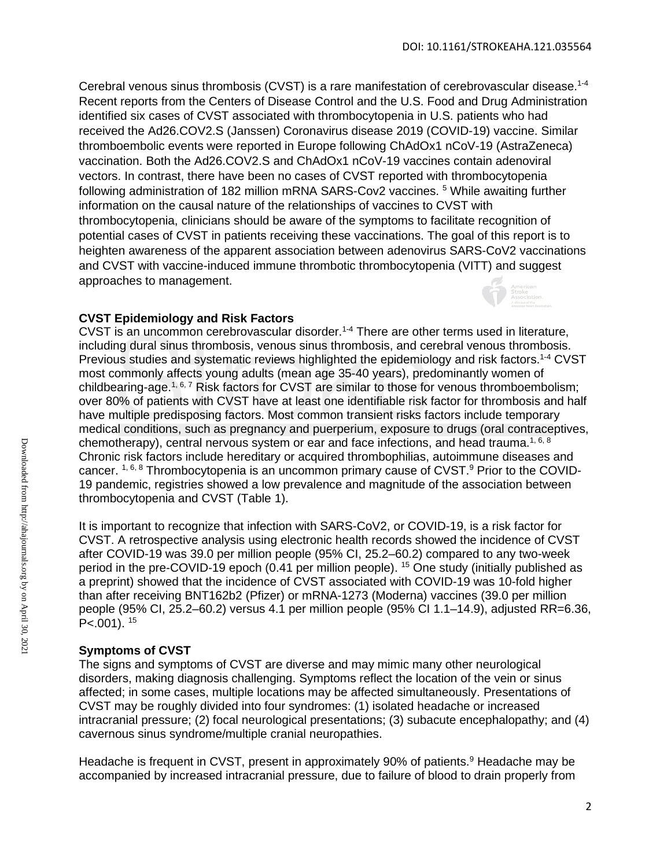Cerebral venous sinus thrombosis (CVST) is a rare manifestation of cerebrovascular disease.<sup>1-4</sup> Recent reports from the Centers of Disease Control and the U.S. Food and Drug Administration identified six cases of CVST associated with thrombocytopenia in U.S. patients who had received the Ad26.COV2.S (Janssen) Coronavirus disease 2019 (COVID-19) vaccine. Similar thromboembolic events were reported in Europe following ChAdOx1 nCoV-19 (AstraZeneca) vaccination. Both the Ad26.COV2.S and ChAdOx1 nCoV-19 vaccines contain adenoviral vectors. In contrast, there have been no cases of CVST reported with thrombocytopenia following administration of 182 million mRNA SARS-Cov2 vaccines.<sup>5</sup> While awaiting further information on the causal nature of the relationships of vaccines to CVST with thrombocytopenia, clinicians should be aware of the symptoms to facilitate recognition of potential cases of CVST in patients receiving these vaccinations. The goal of this report is to heighten awareness of the apparent association between adenovirus SARS-CoV2 vaccinations and CVST with vaccine-induced immune thrombotic thrombocytopenia (VITT) and suggest approaches to management.

# **CVST Epidemiology and Risk Factors**

CVST is an uncommon cerebrovascular disorder. 1-4 There are other terms used in literature, including dural sinus thrombosis, venous sinus thrombosis, and cerebral venous thrombosis. Previous studies and systematic reviews highlighted the epidemiology and risk factors.<sup>1-4</sup> CVST most commonly affects young adults (mean age 35-40 years), predominantly women of childbearing-age.<sup>1, 6, 7</sup> Risk factors for CVST are similar to those for venous thromboembolism; over 80% of patients with CVST have at least one identifiable risk factor for thrombosis and half have multiple predisposing factors. Most common transient risks factors include temporary medical conditions, such as pregnancy and puerperium, exposure to drugs (oral contraceptives, chemotherapy), central nervous system or ear and face infections, and head trauma.<sup>1, 6, 8</sup> Chronic risk factors include hereditary or acquired thrombophilias, autoimmune diseases and cancer. <sup>1, 6, 8</sup> Thrombocytopenia is an uncommon primary cause of CVST.<sup>9</sup> Prior to the COVID-19 pandemic, registries showed a low prevalence and magnitude of the association between thrombocytopenia and CVST (Table 1).

It is important to recognize that infection with SARS-CoV2, or COVID-19, is a risk factor for CVST. A retrospective analysis using electronic health records showed the incidence of CVST after COVID-19 was 39.0 per million people (95% CI, 25.2–60.2) compared to any two-week period in the pre-COVID-19 epoch (0.41 per million people). <sup>15</sup> One study (initially published as a preprint) showed that the incidence of CVST associated with COVID-19 was 10-fold higher than after receiving BNT162b2 (Pfizer) or mRNA-1273 (Moderna) vaccines (39.0 per million people (95% CI, 25.2–60.2) versus 4.1 per million people (95% CI 1.1–14.9), adjusted RR=6.36,  $P<.001$ ).  $15$ 

# **Symptoms of CVST**

The signs and symptoms of CVST are diverse and may mimic many other neurological disorders, making diagnosis challenging. Symptoms reflect the location of the vein or sinus affected; in some cases, multiple locations may be affected simultaneously. Presentations of CVST may be roughly divided into four syndromes: (1) isolated headache or increased intracranial pressure; (2) focal neurological presentations; (3) subacute encephalopathy; and (4) cavernous sinus syndrome/multiple cranial neuropathies.

Headache is frequent in CVST, present in approximately 90% of patients.<sup>9</sup> Headache may be accompanied by increased intracranial pressure, due to failure of blood to drain properly from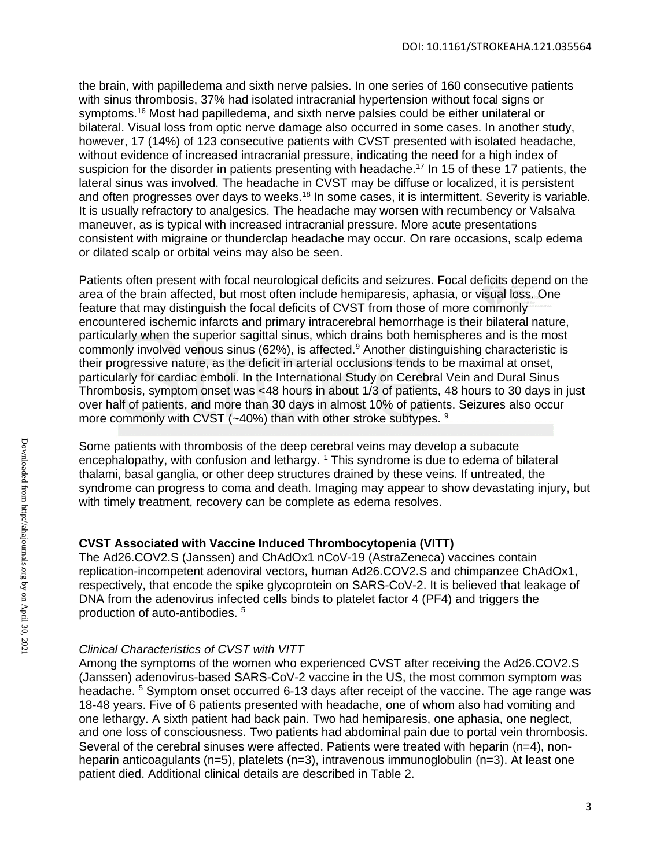the brain, with papilledema and sixth nerve palsies. In one series of 160 consecutive patients with sinus thrombosis, 37% had isolated intracranial hypertension without focal signs or symptoms.<sup>16</sup> Most had papilledema, and sixth nerve palsies could be either unilateral or bilateral. Visual loss from optic nerve damage also occurred in some cases. In another study, however, 17 (14%) of 123 consecutive patients with CVST presented with isolated headache, without evidence of increased intracranial pressure, indicating the need for a high index of suspicion for the disorder in patients presenting with headache.<sup>17</sup> In 15 of these 17 patients, the lateral sinus was involved. The headache in CVST may be diffuse or localized, it is persistent and often progresses over days to weeks.<sup>18</sup> In some cases, it is intermittent. Severity is variable. It is usually refractory to analgesics. The headache may worsen with recumbency or Valsalva maneuver, as is typical with increased intracranial pressure. More acute presentations consistent with migraine or thunderclap headache may occur. On rare occasions, scalp edema or dilated scalp or orbital veins may also be seen.

Patients often present with focal neurological deficits and seizures. Focal deficits depend on the area of the brain affected, but most often include hemiparesis, aphasia, or visual loss. One feature that may distinguish the focal deficits of CVST from those of more commonly encountered ischemic infarcts and primary intracerebral hemorrhage is their bilateral nature, particularly when the superior sagittal sinus, which drains both hemispheres and is the most commonly involved venous sinus  $(62%)$ , is affected.<sup>9</sup> Another distinguishing characteristic is their progressive nature, as the deficit in arterial occlusions tends to be maximal at onset, particularly for cardiac emboli. In the International Study on Cerebral Vein and Dural Sinus Thrombosis, symptom onset was <48 hours in about 1/3 of patients, 48 hours to 30 days in just over half of patients, and more than 30 days in almost 10% of patients. Seizures also occur more commonly with CVST (~40%) than with other stroke subtypes. <sup>9</sup>

Some patients with thrombosis of the deep cerebral veins may develop a subacute encephalopathy, with confusion and lethargy. <sup>1</sup> This syndrome is due to edema of bilateral thalami, basal ganglia, or other deep structures drained by these veins. If untreated, the syndrome can progress to coma and death. Imaging may appear to show devastating injury, but with timely treatment, recovery can be complete as edema resolves.

# **CVST Associated with Vaccine Induced Thrombocytopenia (VITT)**

The Ad26.COV2.S (Janssen) and ChAdOx1 nCoV-19 (AstraZeneca) vaccines contain replication-incompetent adenoviral vectors, human Ad26.COV2.S and chimpanzee ChAdOx1, respectively, that encode the spike glycoprotein on SARS-CoV-2. It is believed that leakage of DNA from the adenovirus infected cells binds to platelet factor 4 (PF4) and triggers the production of auto-antibodies. <sup>5</sup>

# *Clinical Characteristics of CVST with VITT*

Among the symptoms of the women who experienced CVST after receiving the Ad26.COV2.S (Janssen) adenovirus-based SARS-CoV-2 vaccine in the US, the most common symptom was headache. <sup>5</sup> Symptom onset occurred 6-13 days after receipt of the vaccine. The age range was 18-48 years. Five of 6 patients presented with headache, one of whom also had vomiting and one lethargy. A sixth patient had back pain. Two had hemiparesis, one aphasia, one neglect, and one loss of consciousness. Two patients had abdominal pain due to portal vein thrombosis. Several of the cerebral sinuses were affected. Patients were treated with heparin (n=4), nonheparin anticoagulants (n=5), platelets (n=3), intravenous immunoglobulin (n=3). At least one patient died. Additional clinical details are described in Table 2.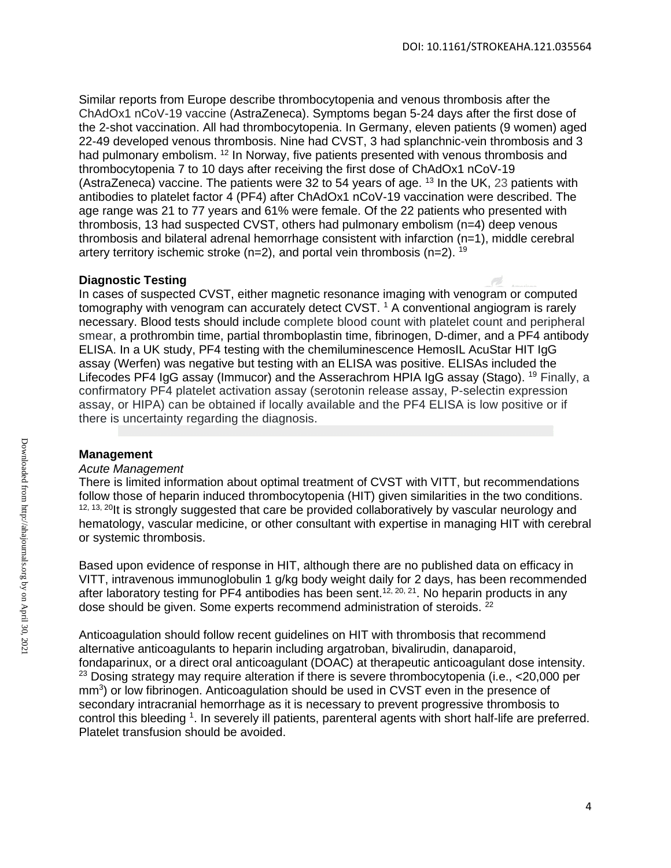Similar reports from Europe describe thrombocytopenia and venous thrombosis after the ChAdOx1 nCoV-19 vaccine (AstraZeneca). Symptoms began 5-24 days after the first dose of the 2-shot vaccination. All had thrombocytopenia. In Germany, eleven patients (9 women) aged 22-49 developed venous thrombosis. Nine had CVST, 3 had splanchnic-vein thrombosis and 3 had pulmonary embolism. <sup>12</sup> In Norway, five patients presented with venous thrombosis and thrombocytopenia 7 to 10 days after receiving the first dose of ChAdOx1 nCoV-19 (AstraZeneca) vaccine. The patients were 32 to 54 years of age. <sup>13</sup> In the UK, 23 patients with antibodies to platelet factor 4 (PF4) after ChAdOx1 nCoV-19 vaccination were described. The age range was 21 to 77 years and 61% were female. Of the 22 patients who presented with thrombosis, 13 had suspected CVST, others had pulmonary embolism (n=4) deep venous thrombosis and bilateral adrenal hemorrhage consistent with infarction (n=1), middle cerebral artery territory ischemic stroke ( $n=2$ ), and portal vein thrombosis ( $n=2$ ). <sup>19</sup>

# **Diagnostic Testing**

In cases of suspected CVST, either magnetic resonance imaging with venogram or computed tomography with venogram can accurately detect CVST.<sup>1</sup> A conventional angiogram is rarely necessary. Blood tests should include complete blood count with platelet count and peripheral smear, a prothrombin time, partial thromboplastin time, fibrinogen, D-dimer, and a PF4 antibody ELISA. In a UK study, PF4 testing with the chemiluminescence HemosIL AcuStar HIT IgG assay (Werfen) was negative but testing with an ELISA was positive. ELISAs included the Lifecodes PF4 IgG assay (Immucor) and the Asserachrom HPIA IgG assay (Stago). <sup>19</sup> Finally, a confirmatory PF4 platelet activation assay (serotonin release assay, P-selectin expression assay, or HIPA) can be obtained if locally available and the PF4 ELISA is low positive or if there is uncertainty regarding the diagnosis.

# **Management**

#### *Acute Management*

There is limited information about optimal treatment of CVST with VITT, but recommendations follow those of heparin induced thrombocytopenia (HIT) given similarities in the two conditions.<br><sup>12, 13, 20</sup>It is strongly suggested that care be provided collaboratively by vascular neurology and hematology, vascular medicine, or other consultant with expertise in managing HIT with cerebral or systemic thrombosis.

Based upon evidence of response in HIT, although there are no published data on efficacy in VITT, intravenous immunoglobulin 1 g/kg body weight daily for 2 days, has been recommended after laboratory testing for PF4 antibodies has been sent.<sup>12, 20, 21</sup>. No heparin products in any dose should be given. Some experts recommend administration of steroids. <sup>22</sup>

Anticoagulation should follow recent guidelines on HIT with thrombosis that recommend alternative anticoagulants to heparin including argatroban, bivalirudin, danaparoid, fondaparinux, or a direct oral anticoagulant (DOAC) at therapeutic anticoagulant dose intensity. 23 Dosing strategy may require alteration if there is severe thrombocytopenia (i.e., <20,000 per mm<sup>3</sup>) or low fibrinogen. Anticoagulation should be used in CVST even in the presence of secondary intracranial hemorrhage as it is necessary to prevent progressive thrombosis to control this bleeding <sup>1</sup>. In severely ill patients, parenteral agents with short half-life are preferred. Platelet transfusion should be avoided.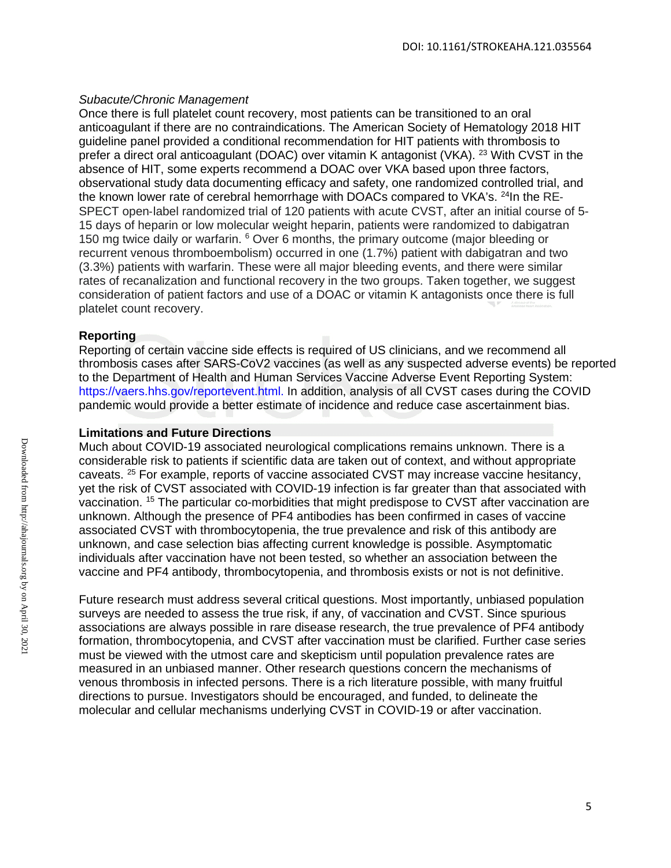#### *Subacute/Chronic Management*

Once there is full platelet count recovery, most patients can be transitioned to an oral anticoagulant if there are no contraindications. The American Society of Hematology 2018 HIT guideline panel provided a conditional recommendation for HIT patients with thrombosis to prefer a direct oral anticoagulant (DOAC) over vitamin K antagonist (VKA). 23 With CVST in the absence of HIT, some experts recommend a DOAC over VKA based upon three factors, observational study data documenting efficacy and safety, one randomized controlled trial, and the known lower rate of cerebral hemorrhage with DOACs compared to VKA's.  $^{24}$ In the RE-SPECT open-label randomized trial of 120 patients with acute CVST, after an initial course of 5-15 days of heparin or low molecular weight heparin, patients were randomized to dabigatran 150 mg twice daily or warfarin. <sup>6</sup> Over 6 months, the primary outcome (major bleeding or recurrent venous thromboembolism) occurred in one (1.7%) patient with dabigatran and two (3.3%) patients with warfarin. These were all major bleeding events, and there were similar rates of recanalization and functional recovery in the two groups. Taken together, we suggest consideration of patient factors and use of a DOAC or vitamin K antagonists once there is full platelet count recovery.

#### **Reporting**

Reporting of certain vaccine side effects is required of US clinicians, and we recommend all thrombosis cases after SARS-CoV2 vaccines (as well as any suspected adverse events) be reported to the Department of Health and Human Services Vaccine Adverse Event Reporting System: [https://vaers.hhs.gov/reportevent.html.](https://nam02.safelinks.protection.outlook.com/?url=https%3A%2F%2Fvaers.hhs.gov%2Freportevent.html&data=04%7C01%7Cmary.cushman%40med.uvm.edu%7Cdcd5a1aeaa224b28dbc608d8ff5910de%7Ced03ff7aba9f420480a6b226316c919d%7C0%7C0%7C637540105284028690%7CUnknown%7CTWFpbGZsb3d8eyJWIjoiMC4wLjAwMDAiLCJQIjoiV2luMzIiLCJBTiI6Ik1haWwiLCJXVCI6Mn0%3D%7C1000&sdata=jqoPYxc6rRv7Sa7tg5317oogvQ1krCvWtCO73ZelRIg%3D&reserved=0) In addition, analysis of all CVST cases during the COVID pandemic would provide a better estimate of incidence and reduce case ascertainment bias.

#### **Limitations and Future Directions**

Much about COVID-19 associated neurological complications remains unknown. There is a considerable risk to patients if scientific data are taken out of context, and without appropriate caveats. 25 For example, reports of vaccine associated CVST may increase vaccine hesitancy, yet the risk of CVST associated with COVID-19 infection is far greater than that associated with vaccination. 15 The particular co-morbidities that might predispose to CVST after vaccination are unknown. Although the presence of PF4 antibodies has been confirmed in cases of vaccine associated CVST with thrombocytopenia, the true prevalence and risk of this antibody are unknown, and case selection bias affecting current knowledge is possible. Asymptomatic individuals after vaccination have not been tested, so whether an association between the vaccine and PF4 antibody, thrombocytopenia, and thrombosis exists or not is not definitive.

Future research must address several critical questions. Most importantly, unbiased population surveys are needed to assess the true risk, if any, of vaccination and CVST. Since spurious associations are always possible in rare disease research, the true prevalence of PF4 antibody formation, thrombocytopenia, and CVST after vaccination must be clarified. Further case series must be viewed with the utmost care and skepticism until population prevalence rates are measured in an unbiased manner. Other research questions concern the mechanisms of venous thrombosis in infected persons. There is a rich literature possible, with many fruitful directions to pursue. Investigators should be encouraged, and funded, to delineate the molecular and cellular mechanisms underlying CVST in COVID-19 or after vaccination.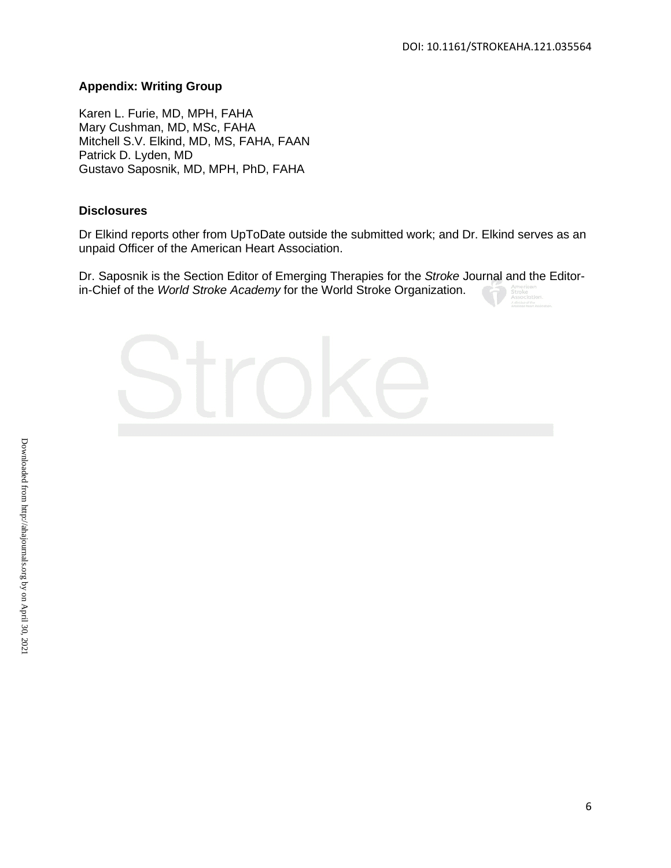#### **Appendix: Writing Group**

Karen L. Furie, MD, MPH, FAHA Mary Cushman, MD, MSc, FAHA Mitchell S.V. Elkind, MD, MS, FAHA, FAAN Patrick D. Lyden, MD Gustavo Saposnik, MD, MPH, PhD, FAHA

#### **Disclosures**

Dr Elkind reports other from UpToDate outside the submitted work; and Dr. Elkind serves as an unpaid Officer of the American Heart Association.

Dr. Saposnik is the Section Editor of Emerging Therapies for the *Stroke* Journal and the Editorin-Chief of the *World Stroke Academy* for the World Stroke Organization.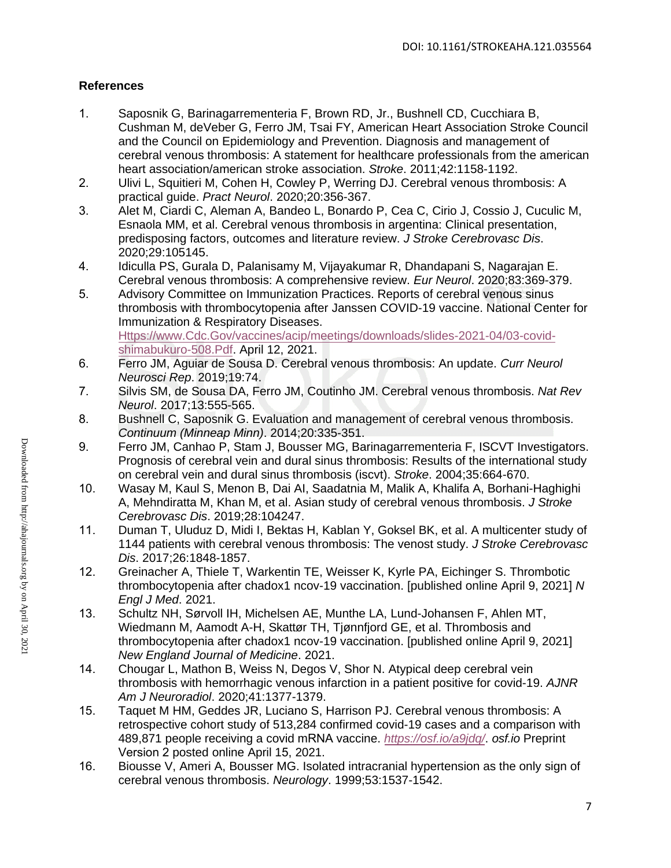# **References**

- 1. Saposnik G, Barinagarrementeria F, Brown RD, Jr., Bushnell CD, Cucchiara B, Cushman M, deVeber G, Ferro JM, Tsai FY, American Heart Association Stroke Council and the Council on Epidemiology and Prevention. Diagnosis and management of cerebral venous thrombosis: A statement for healthcare professionals from the american heart association/american stroke association. *Stroke*. 2011;42:1158-1192.
- 2. Ulivi L, Squitieri M, Cohen H, Cowley P, Werring DJ. Cerebral venous thrombosis: A practical guide. *Pract Neurol*. 2020;20:356-367.
- 3. Alet M, Ciardi C, Aleman A, Bandeo L, Bonardo P, Cea C, Cirio J, Cossio J, Cuculic M, Esnaola MM, et al. Cerebral venous thrombosis in argentina: Clinical presentation, predisposing factors, outcomes and literature review. *J Stroke Cerebrovasc Dis*. 2020;29:105145.
- 4. Idiculla PS, Gurala D, Palanisamy M, Vijayakumar R, Dhandapani S, Nagarajan E. Cerebral venous thrombosis: A comprehensive review. *Eur Neurol*. 2020;83:369-379.
- 5. Advisory Committee on Immunization Practices. Reports of cerebral venous sinus thrombosis with thrombocytopenia after Janssen COVID-19 vaccine. National Center for Immunization & Respiratory Diseases. [Https://www.Cdc.Gov/vaccines/acip/meetings/downloads/slides-2021-04/03-covid](https://www.cdc.gov/vaccines/acip/meetings/downloads/slides-2021-04/03-covid-shimabukuro-508.Pdf)[shimabukuro-508.Pdf.](https://www.cdc.gov/vaccines/acip/meetings/downloads/slides-2021-04/03-covid-shimabukuro-508.Pdf) April 12, 2021.
- 6. Ferro JM, Aguiar de Sousa D. Cerebral venous thrombosis: An update. *Curr Neurol Neurosci Rep*. 2019;19:74.
- 7. Silvis SM, de Sousa DA, Ferro JM, Coutinho JM. Cerebral venous thrombosis. *Nat Rev Neurol*. 2017;13:555-565.
- 8. Bushnell C, Saposnik G. Evaluation and management of cerebral venous thrombosis. *Continuum (Minneap Minn)*. 2014;20:335-351.
- 9. Ferro JM, Canhao P, Stam J, Bousser MG, Barinagarrementeria F, ISCVT Investigators. Prognosis of cerebral vein and dural sinus thrombosis: Results of the international study on cerebral vein and dural sinus thrombosis (iscvt). *Stroke*. 2004;35:664-670.
- 10. Wasay M, Kaul S, Menon B, Dai AI, Saadatnia M, Malik A, Khalifa A, Borhani-Haghighi A, Mehndiratta M, Khan M, et al. Asian study of cerebral venous thrombosis. *J Stroke Cerebrovasc Dis*. 2019;28:104247.
- 11. Duman T, Uluduz D, Midi I, Bektas H, Kablan Y, Goksel BK, et al. A multicenter study of 1144 patients with cerebral venous thrombosis: The venost study. *J Stroke Cerebrovasc Dis*. 2017;26:1848-1857.
- 12. Greinacher A, Thiele T, Warkentin TE, Weisser K, Kyrle PA, Eichinger S. Thrombotic thrombocytopenia after chadox1 ncov-19 vaccination. [published online April 9, 2021] *N Engl J Med*. 2021.
- 13. Schultz NH, Sørvoll IH, Michelsen AE, Munthe LA, Lund-Johansen F, Ahlen MT, Wiedmann M, Aamodt A-H, Skattør TH, Tjønnfjord GE, et al. Thrombosis and thrombocytopenia after chadox1 ncov-19 vaccination. [published online April 9, 2021] *New England Journal of Medicine*. 2021.
- 14. Chougar L, Mathon B, Weiss N, Degos V, Shor N. Atypical deep cerebral vein thrombosis with hemorrhagic venous infarction in a patient positive for covid-19. *AJNR Am J Neuroradiol*. 2020;41:1377-1379.
- 15. Taquet M HM, Geddes JR, Luciano S, Harrison PJ. Cerebral venous thrombosis: A retrospective cohort study of 513,284 confirmed covid-19 cases and a comparison with 489,871 people receiving a covid mRNA vaccine. *[https://osf.io/a9jd](https://osf.io/a9jdq/)q/*. *osf.io* Preprint Version 2 posted online April 15, 2021.
- 16. Biousse V, Ameri A, Bousser MG. Isolated intracranial hypertension as the only sign of cerebral venous thrombosis. *Neurology*. 1999;53:1537-1542.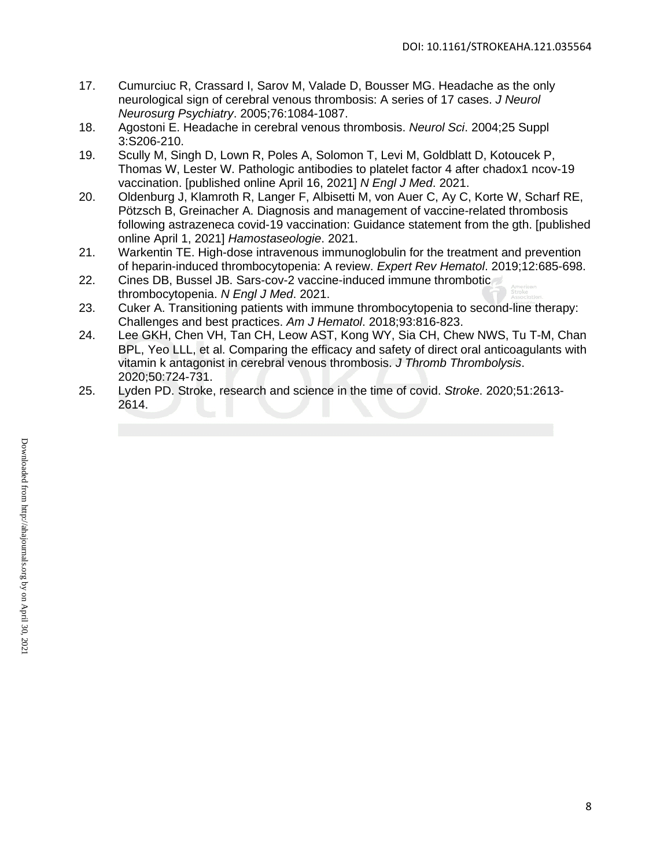- 17. Cumurciuc R, Crassard I, Sarov M, Valade D, Bousser MG. Headache as the only neurological sign of cerebral venous thrombosis: A series of 17 cases. *J Neurol Neurosurg Psychiatry*. 2005;76:1084-1087.
- 18. Agostoni E. Headache in cerebral venous thrombosis. *Neurol Sci*. 2004;25 Suppl 3:S206-210.
- 19. Scully M, Singh D, Lown R, Poles A, Solomon T, Levi M, Goldblatt D, Kotoucek P, Thomas W, Lester W. Pathologic antibodies to platelet factor 4 after chadox1 ncov-19 vaccination. [published online April 16, 2021] *N Engl J Med*. 2021.
- 20. Oldenburg J, Klamroth R, Langer F, Albisetti M, von Auer C, Ay C, Korte W, Scharf RE, Pötzsch B, Greinacher A. Diagnosis and management of vaccine-related thrombosis following astrazeneca covid-19 vaccination: Guidance statement from the gth. [published online April 1, 2021] *Hamostaseologie*. 2021.
- 21. Warkentin TE. High-dose intravenous immunoglobulin for the treatment and prevention of heparin-induced thrombocytopenia: A review. *Expert Rev Hematol*. 2019;12:685-698.
- 22. Cines DB, Bussel JB. Sars-cov-2 vaccine-induced immune thrombotic thrombocytopenia. *N Engl J Med*. 2021.
- 23. Cuker A. Transitioning patients with immune thrombocytopenia to second-line therapy: Challenges and best practices. *Am J Hematol*. 2018;93:816-823.
- 24. Lee GKH, Chen VH, Tan CH, Leow AST, Kong WY, Sia CH, Chew NWS, Tu T-M, Chan BPL, Yeo LLL, et al. Comparing the efficacy and safety of direct oral anticoagulants with vitamin k antagonist in cerebral venous thrombosis. *J Thromb Thrombolysis*. 2020;50:724-731.
- 25. Lyden PD. Stroke, research and science in the time of covid. *Stroke*. 2020;51:2613- 2614.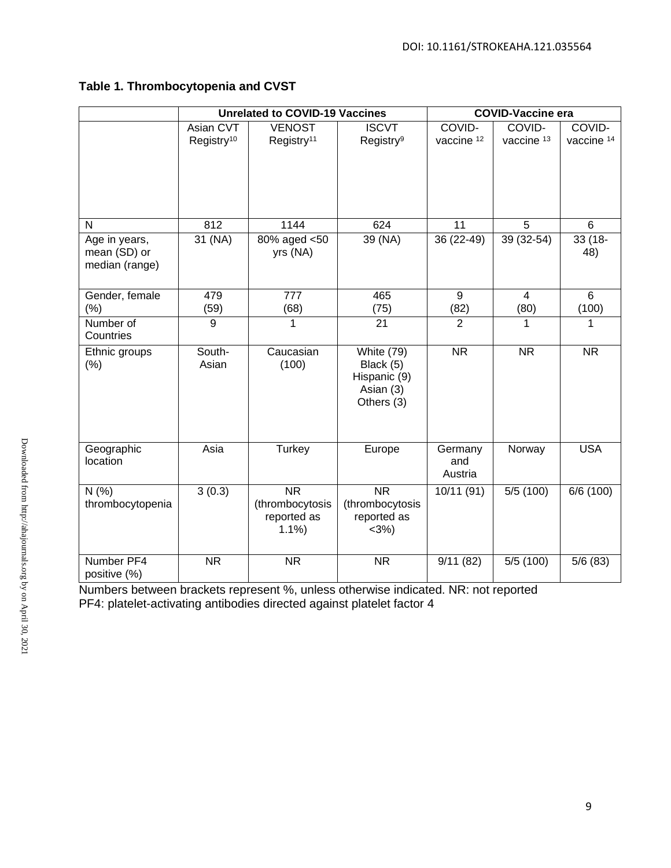# **Table 1. Thrombocytopenia and CVST**

|                                                 | <b>Unrelated to COVID-19 Vaccines</b> |                                                     |                                                                    | <b>COVID-Vaccine era</b>  |                                 |                                 |
|-------------------------------------------------|---------------------------------------|-----------------------------------------------------|--------------------------------------------------------------------|---------------------------|---------------------------------|---------------------------------|
|                                                 | Asian CVT<br>Registry <sup>10</sup>   | <b>VENOST</b><br>Registry <sup>11</sup>             | <b>ISCVT</b><br>Registry <sup>9</sup>                              | COVID-<br>vaccine 12      | COVID-<br>vaccine <sup>13</sup> | COVID-<br>vaccine <sup>14</sup> |
|                                                 |                                       |                                                     |                                                                    |                           |                                 |                                 |
| N                                               | 812                                   | 1144                                                | 624                                                                | 11                        | $\overline{5}$                  | 6                               |
| Age in years,<br>mean (SD) or<br>median (range) | 31 (NA)                               | 80% aged <50<br>yrs (NA)                            | 39 (NA)                                                            | 36 (22-49)                | 39 (32-54)                      | $33(18 -$<br>48)                |
| Gender, female<br>$(\%)$                        | 479<br>(59)                           | 777<br>(68)                                         | 465<br>(75)                                                        | 9<br>(82)                 | $\overline{4}$<br>(80)          | 6<br>(100)                      |
| Number of<br>Countries                          | 9                                     | 1                                                   | 21                                                                 | $\overline{2}$            | 1                               | 1                               |
| Ethnic groups<br>(% )                           | South-<br>Asian                       | Caucasian<br>(100)                                  | White (79)<br>Black (5)<br>Hispanic (9)<br>Asian (3)<br>Others (3) | $\overline{\text{NR}}$    | <b>NR</b>                       | <b>NR</b>                       |
| Geographic<br>location                          | Asia                                  | <b>Turkey</b>                                       | Europe                                                             | Germany<br>and<br>Austria | Norway                          | <b>USA</b>                      |
| N(% )<br>thrombocytopenia                       | 3(0.3)                                | <b>NR</b><br>(thrombocytosis<br>reported as<br>1.1% | <b>NR</b><br>(thrombocytosis<br>reported as<br>$<3%$ )             | 10/11 (91)                | 5/5(100)                        | 6/6 (100)                       |
| Number PF4<br>positive (%)                      | <b>NR</b>                             | <b>NR</b>                                           | <b>NR</b>                                                          | 9/11(82)                  | 5/5(100)                        | 5/6(83)                         |

Numbers between brackets represent %, unless otherwise indicated. NR: not reported PF4: platelet-activating antibodies directed against platelet factor 4